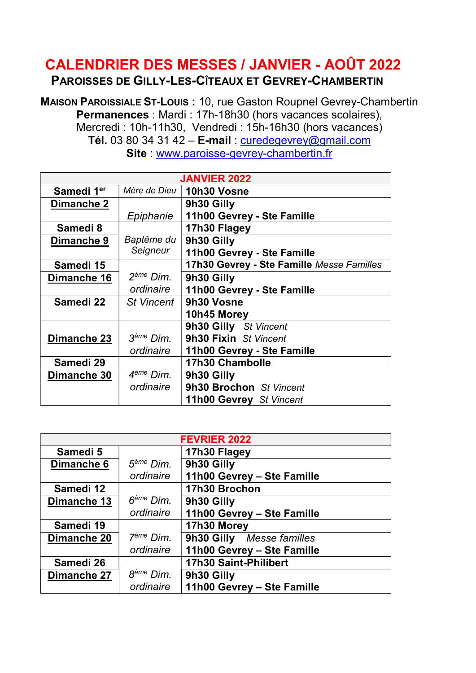## CALENDRIER DES MESSES / JANVIER - AOÛT 2022 PAROISSES DE GILLY-LES-CÎTEAUX ET GEVREY-CHAMBERTIN

MAISON PAROISSIALE ST-LOUIS : 10, rue Gaston Roupnel Gevrey-Chambertin Permanences : Mardi : 17h-18h30 (hors vacances scolaires), Mercredi : 10h-11h30, Vendredi : 15h-16h30 (hors vacances) Tél. 03 80 34 31 42 – E-mail: curedegevrey@gmail.com Site : www.paroisse-gevrey-chambertin.fr

| <b>JANVIER 2022</b>    |                       |                                           |
|------------------------|-----------------------|-------------------------------------------|
| Samedi 1 <sup>er</sup> | Mère de Dieu          | 10h30 Vosne                               |
| Dimanche 2             |                       | 9h30 Gilly                                |
|                        | Epiphanie             | 11h00 Gevrey - Ste Famille                |
| Samedi 8               |                       | 17h30 Flagey                              |
| Dimanche 9             | Baptême du            | 9h30 Gilly                                |
|                        | Seigneur              | 11h00 Gevrey - Ste Famille                |
| Samedi 15              |                       | 17h30 Gevrey - Ste Famille Messe Familles |
| Dimanche 16            | 2 <sup>ème</sup> Dim. | 9h30 Gilly                                |
|                        | ordinaire             | 11h00 Gevrey - Ste Famille                |
| Samedi 22              | <b>St Vincent</b>     | 9h30 Vosne                                |
|                        |                       | 10h45 Morey                               |
|                        |                       | 9h30 Gilly St Vincent                     |
| Dimanche 23            | 3 <sup>ème</sup> Dim. | 9h30 Fixin St Vincent                     |
|                        | ordinaire             | 11h00 Gevrey - Ste Famille                |
| Samedi 29              |                       | <b>17h30 Chambolle</b>                    |
| Dimanche 30            | 4 <sup>ème</sup> Dim. | 9h30 Gilly                                |
|                        | ordinaire             | 9h30 Brochon St Vincent                   |
|                        |                       | 11h00 Gevrey St Vincent                   |

| <b>FEVRIER 2022</b> |                       |                              |
|---------------------|-----------------------|------------------------------|
| Samedi 5            |                       | 17h30 Flagey                 |
| Dimanche 6          | $5ème$ Dim.           | 9h30 Gilly                   |
|                     | ordinaire             | 11h00 Gevrey - Ste Famille   |
| Samedi 12           |                       | 17h30 Brochon                |
| Dimanche 13         | $6eme$ Dim.           | 9h30 Gilly                   |
|                     | ordinaire             | 11h00 Gevrey - Ste Famille   |
| Samedi 19           |                       | 17h30 Morey                  |
| Dimanche 20         | 7 <sup>ème</sup> Dim. | 9h30 Gilly Messe familles    |
|                     | ordinaire             | 11h00 Gevrey - Ste Famille   |
| Samedi 26           |                       | <b>17h30 Saint-Philibert</b> |
| Dimanche 27         | 8 <sup>ème</sup> Dim. | 9h30 Gilly                   |
|                     | ordinaire             | 11h00 Gevrey - Ste Famille   |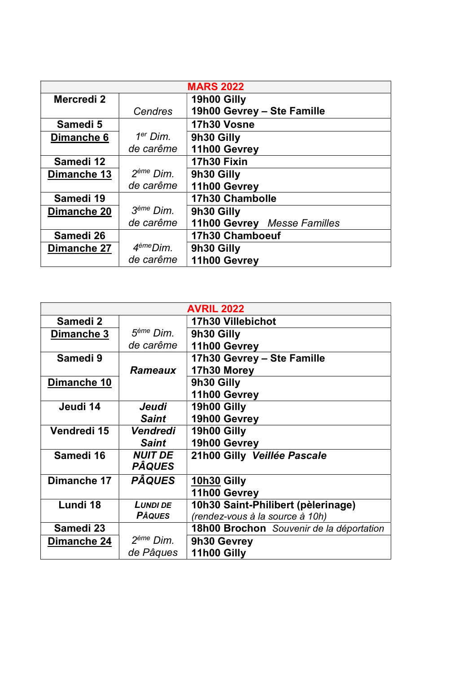| <b>MARS 2022</b>      |                       |                             |
|-----------------------|-----------------------|-----------------------------|
| Mercredi <sub>2</sub> |                       | 19h00 Gilly                 |
|                       | Cendres               | 19h00 Gevrey - Ste Famille  |
| Samedi 5              |                       | 17h30 Vosne                 |
| Dimanche 6            | $1er$ Dim.            | 9h30 Gilly                  |
|                       | de carême             | 11h00 Gevrey                |
| Samedi 12             |                       | 17h30 Fixin                 |
| Dimanche 13           | 2 <sup>ème</sup> Dim. | 9h30 Gilly                  |
|                       | de carême             | 11h00 Gevrey                |
| Samedi 19             |                       | <b>17h30 Chambolle</b>      |
| Dimanche 20           | 3 <sup>ème</sup> Dim. | 9h30 Gilly                  |
|                       | de carême             | 11h00 Gevrey Messe Familles |
| Samedi 26             |                       | 17h30 Chamboeuf             |
| Dimanche 27           | 4 <sup>ème</sup> Dim. | 9h30 Gilly                  |
|                       | de carême             | 11h00 Gevrey                |

| <b>AVRIL 2022</b>   |                       |                                          |
|---------------------|-----------------------|------------------------------------------|
| Samedi <sub>2</sub> |                       | <b>17h30 Villebichot</b>                 |
| Dimanche 3          | 5 <sup>ème</sup> Dim. | 9h30 Gilly                               |
|                     | de carême             | 11h00 Gevrey                             |
| Samedi 9            |                       | 17h30 Gevrey - Ste Famille               |
|                     | <b>Rameaux</b>        | 17h30 Morey                              |
| Dimanche 10         |                       | 9h30 Gilly                               |
|                     |                       | 11h00 Gevrey                             |
| Jeudi 14            | Jeudi                 | 19h00 Gilly                              |
|                     | <b>Saint</b>          | 19h00 Gevrey                             |
| Vendredi 15         | Vendredi              | 19h00 Gilly                              |
|                     | <b>Saint</b>          | 19h00 Gevrey                             |
| Samedi 16           | <b>NUIT DE</b>        | 21h00 Gilly Veillée Pascale              |
|                     | <b>PÂQUES</b>         |                                          |
| Dimanche 17         | <b>PÂQUES</b>         | 10h30 Gilly                              |
|                     |                       | 11h00 Gevrey                             |
| Lundi 18            | <b>LUNDI DE</b>       | 10h30 Saint-Philibert (pèlerinage)       |
|                     | <b>PÂQUES</b>         | (rendez-vous à la source à 10h)          |
| Samedi 23           |                       | 18h00 Brochon Souvenir de la déportation |
| Dimanche 24         | 2 <sup>ème</sup> Dim. | 9h30 Gevrey                              |
|                     | de Pâques             | 11h00 Gilly                              |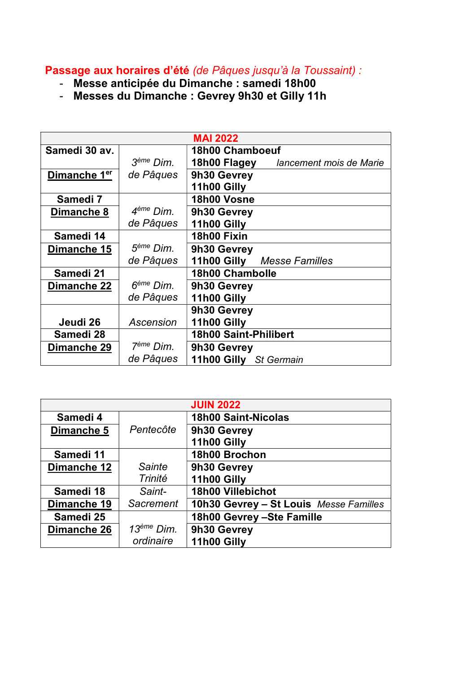## Passage aux horaires d'été (de Pâques jusqu'à la Toussaint) :

- Messe anticipée du Dimanche : samedi 18h00
- Messes du Dimanche : Gevrey 9h30 et Gilly 11h

|                          |                       | <b>MAI 2022</b>                         |
|--------------------------|-----------------------|-----------------------------------------|
| Samedi 30 av.            |                       | 18h00 Chamboeuf                         |
|                          | 3 <sup>ème</sup> Dim. | 18h00 Flagey<br>lancement mois de Marie |
| Dimanche 1 <sup>er</sup> | de Pâques             | 9h30 Gevrey                             |
|                          |                       | 11h00 Gilly                             |
| Samedi 7                 |                       | 18h00 Vosne                             |
| Dimanche 8               | 4 <sup>ème</sup> Dim. | 9h30 Gevrey                             |
|                          | de Pâques             | 11h00 Gilly                             |
| Samedi 14                |                       | 18h00 Fixin                             |
| Dimanche 15              | 5 <sup>ème</sup> Dim. | 9h30 Gevrey                             |
|                          | de Pâques             | 11h00 Gilly Messe Familles              |
| Samedi 21                |                       | <b>18h00 Chambolle</b>                  |
| Dimanche 22              | 6 <sup>ème</sup> Dim. | 9h30 Gevrey                             |
|                          | de Pâques             | 11h00 Gilly                             |
|                          |                       | 9h30 Gevrey                             |
| Jeudi 26                 | Ascension             | 11h00 Gilly                             |
| Samedi 28                |                       | <b>18h00 Saint-Philibert</b>            |
| Dimanche 29              | 7 <sup>ème</sup> Dim. | 9h30 Gevrey                             |
|                          | de Pâques             | 11h00 Gilly St Germain                  |

| <b>JUIN 2022</b> |                        |                                        |
|------------------|------------------------|----------------------------------------|
| Samedi 4         |                        | <b>18h00 Saint-Nicolas</b>             |
| Dimanche 5       | Pentecôte              | 9h30 Gevrey                            |
|                  |                        | 11h00 Gilly                            |
| Samedi 11        |                        | 18h00 Brochon                          |
| Dimanche 12      | <b>Sainte</b>          | 9h30 Gevrey                            |
|                  | Trinité                | 11h00 Gilly                            |
| Samedi 18        | Saint-                 | <b>18h00 Villebichot</b>               |
| Dimanche 19      | <b>Sacrement</b>       | 10h30 Gevrey - St Louis Messe Familles |
| Samedi 25        |                        | 18h00 Gevrey - Ste Famille             |
| Dimanche 26      | 13 <sup>ème</sup> Dim. | 9h30 Gevrey                            |
|                  | ordinaire              | 11h00 Gilly                            |